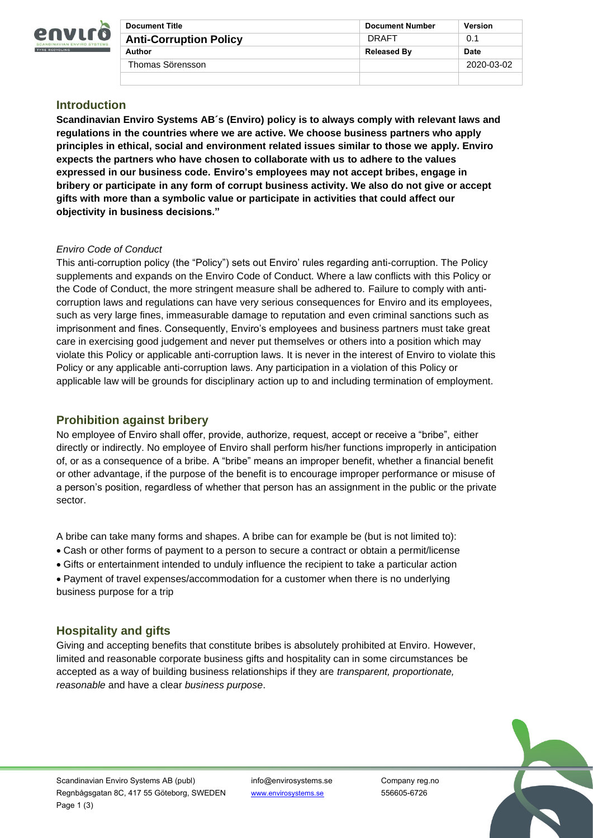

| <b>Document Title</b>         | <b>Document Number</b> | <b>Version</b> |
|-------------------------------|------------------------|----------------|
| <b>Anti-Corruption Policy</b> | DRAFT                  | 0.1            |
| Author                        | <b>Released By</b>     | <b>Date</b>    |
| Thomas Sörensson              |                        | 2020-03-02     |
|                               |                        |                |

## **Introduction**

**Scandinavian Enviro Systems AB´s (Enviro) policy is to always comply with relevant laws and regulations in the countries where we are active. We choose business partners who apply principles in ethical, social and environment related issues similar to those we apply. Enviro expects the partners who have chosen to collaborate with us to adhere to the values expressed in our business code. Enviro's employees may not accept bribes, engage in bribery or participate in any form of corrupt business activity. We also do not give or accept gifts with more than a symbolic value or participate in activities that could affect our objectivity in business decisions."**

### *Enviro Code of Conduct*

This anti-corruption policy (the "Policy") sets out Enviro' rules regarding anti-corruption. The Policy supplements and expands on the Enviro Code of Conduct. Where a law conflicts with this Policy or the Code of Conduct, the more stringent measure shall be adhered to. Failure to comply with anticorruption laws and regulations can have very serious consequences for Enviro and its employees, such as very large fines, immeasurable damage to reputation and even criminal sanctions such as imprisonment and fines. Consequently, Enviro's employees and business partners must take great care in exercising good judgement and never put themselves or others into a position which may violate this Policy or applicable anti-corruption laws. It is never in the interest of Enviro to violate this Policy or any applicable anti-corruption laws. Any participation in a violation of this Policy or applicable law will be grounds for disciplinary action up to and including termination of employment.

## **Prohibition against bribery**

No employee of Enviro shall offer, provide, authorize, request, accept or receive a "bribe", either directly or indirectly. No employee of Enviro shall perform his/her functions improperly in anticipation of, or as a consequence of a bribe. A "bribe" means an improper benefit, whether a financial benefit or other advantage, if the purpose of the benefit is to encourage improper performance or misuse of a person's position, regardless of whether that person has an assignment in the public or the private sector.

A bribe can take many forms and shapes. A bribe can for example be (but is not limited to):

- Cash or other forms of payment to a person to secure a contract or obtain a permit/license
- Gifts or entertainment intended to unduly influence the recipient to take a particular action

• Payment of travel expenses/accommodation for a customer when there is no underlying business purpose for a trip

# **Hospitality and gifts**

Giving and accepting benefits that constitute bribes is absolutely prohibited at Enviro. However, limited and reasonable corporate business gifts and hospitality can in some circumstances be accepted as a way of building business relationships if they are *transparent, proportionate, reasonable* and have a clear *business purpose*.

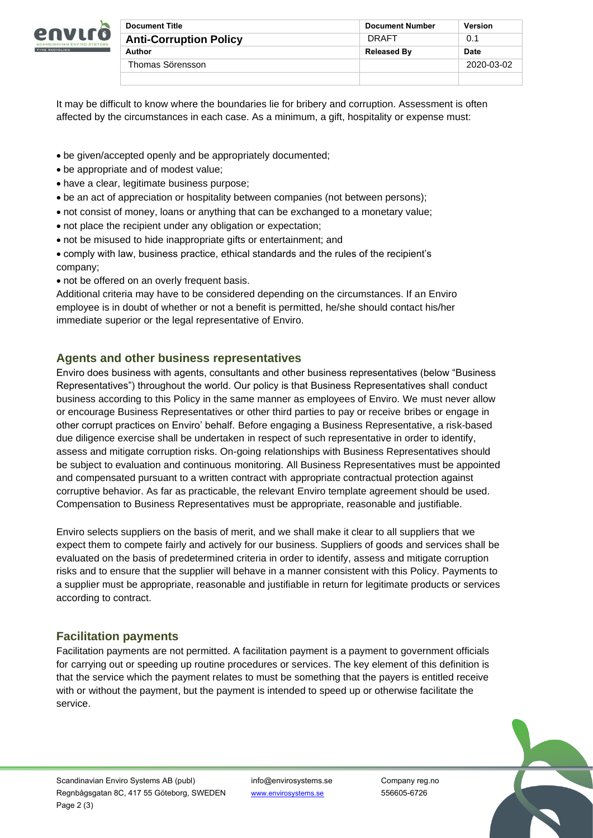

| <b>Document Title</b>         | <b>Document Number</b> | <b>Version</b> |
|-------------------------------|------------------------|----------------|
| <b>Anti-Corruption Policy</b> | DRAFT                  | 0.1            |
| Author                        | <b>Released By</b>     | <b>Date</b>    |
| Thomas Sörensson              |                        | 2020-03-02     |
|                               |                        |                |

It may be difficult to know where the boundaries lie for bribery and corruption. Assessment is often affected by the circumstances in each case. As a minimum, a gift, hospitality or expense must:

- be given/accepted openly and be appropriately documented;
- be appropriate and of modest value;
- have a clear, legitimate business purpose;
- be an act of appreciation or hospitality between companies (not between persons);
- not consist of money, loans or anything that can be exchanged to a monetary value;
- not place the recipient under any obligation or expectation;
- not be misused to hide inappropriate gifts or entertainment; and
- comply with law, business practice, ethical standards and the rules of the recipient's company;
- not be offered on an overly frequent basis.

Additional criteria may have to be considered depending on the circumstances. If an Enviro employee is in doubt of whether or not a benefit is permitted, he/she should contact his/her immediate superior or the legal representative of Enviro.

# **Agents and other business representatives**

Enviro does business with agents, consultants and other business representatives (below "Business Representatives") throughout the world. Our policy is that Business Representatives shall conduct business according to this Policy in the same manner as employees of Enviro. We must never allow or encourage Business Representatives or other third parties to pay or receive bribes or engage in other corrupt practices on Enviro' behalf. Before engaging a Business Representative, a risk-based due diligence exercise shall be undertaken in respect of such representative in order to identify, assess and mitigate corruption risks. On-going relationships with Business Representatives should be subject to evaluation and continuous monitoring. All Business Representatives must be appointed and compensated pursuant to a written contract with appropriate contractual protection against corruptive behavior. As far as practicable, the relevant Enviro template agreement should be used. Compensation to Business Representatives must be appropriate, reasonable and justifiable.

Enviro selects suppliers on the basis of merit, and we shall make it clear to all suppliers that we expect them to compete fairly and actively for our business. Suppliers of goods and services shall be evaluated on the basis of predetermined criteria in order to identify, assess and mitigate corruption risks and to ensure that the supplier will behave in a manner consistent with this Policy. Payments to a supplier must be appropriate, reasonable and justifiable in return for legitimate products or services according to contract.

# **Facilitation payments**

Facilitation payments are not permitted. A facilitation payment is a payment to government officials for carrying out or speeding up routine procedures or services. The key element of this definition is that the service which the payment relates to must be something that the payers is entitled receive with or without the payment, but the payment is intended to speed up or otherwise facilitate the service.